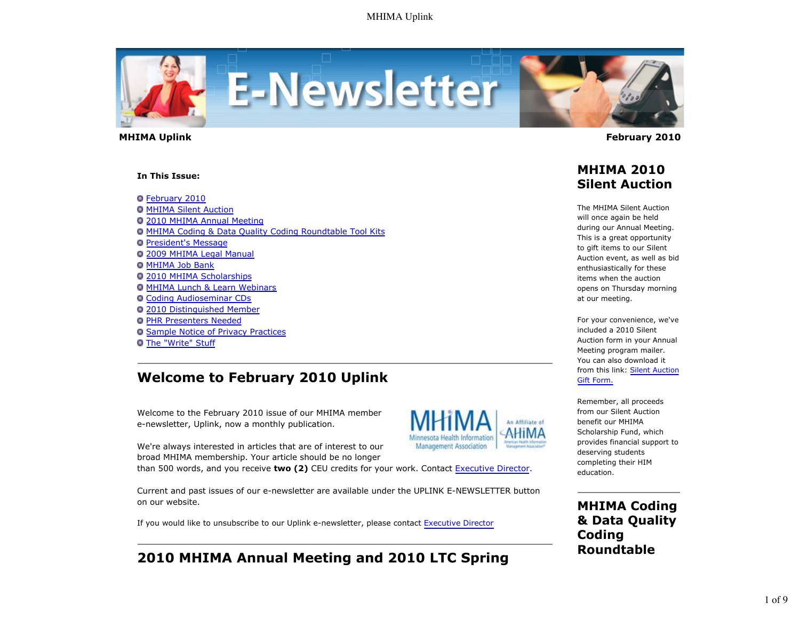

 **MHIMA Uplink February 2010** 

#### **In This Issue:**

**O** February 2010

**O MHIMA Silent Auction** 2010 MHIMA Annual Meeting MHIMA Coding & Data Quality Coding Roundtable Tool Kits **President's Message** 2009 MHIMA Legal Manual **O MHIMA Job Bank** 2010 MHIMA Scholarships MHIMA Lunch & Learn Webinars Coding Audioseminar CDs 2010 Distinguished Member **O PHR Presenters Needed O Sample Notice of Privacy Practices O** The "Write" Stuff

# **Welcome to February 2010 Uplink**

Welcome to the February 2010 issue of our MHIMA member e-newsletter, Uplink, now a monthly publication.

We're always interested in articles that are of interest to our broad MHIMA membership. Your article should be no longer

than 500 words, and you receive **two (2)** CEU credits for your work. Contact Executive Director.

Current and past issues of our e-newsletter are available under the UPLINK E-NEWSLETTER button on our website.

If you would like to unsubscribe to our Uplink e-newsletter, please contact Executive Director

# **2010 MHIMA Annual Meeting and 2010 LTC Spring**

# **MHIMA 2010 Silent Auction**

The MHIMA Silent Auction will once again be held during our Annual Meeting. This is a great opportunity to gift items to our Silent Auction event, as well as bid enthusiastically for these items when the auction opens on Thursday morning at our meeting.

For your convenience, we've included a 2010 Silent Auction form in your Annual Meeting program mailer. You can also download it from this link: Silent Auction Gift Form.

Remember, all proceeds from our Silent Auction benefit our MHIMA Scholarship Fund, which provides financial support to deserving students completing their HIM education.

An Affiliate of

Management Association

**MHIMA Coding & Data Quality Coding Roundtable**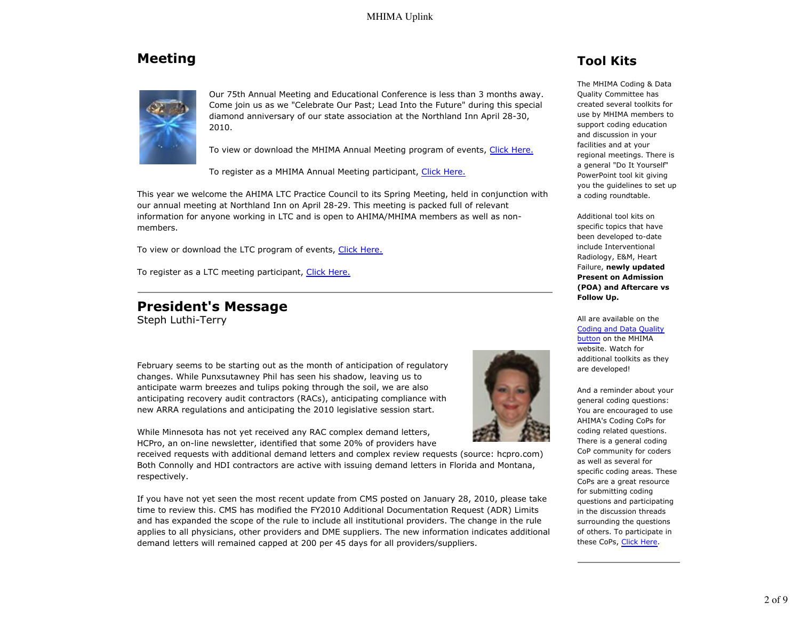# **Meeting**



Our 75th Annual Meeting and Educational Conference is less than 3 months away. Come join us as we "Celebrate Our Past; Lead Into the Future" during this special diamond anniversary of our state association at the Northland Inn April 28-30, 2010.

To view or download the MHIMA Annual Meeting program of events, Click Here.

To register as a MHIMA Annual Meeting participant, Click Here.

This year we welcome the AHIMA LTC Practice Council to its Spring Meeting, held in conjunction with our annual meeting at Northland Inn on April 28-29. This meeting is packed full of relevant information for anyone working in LTC and is open to AHIMA/MHIMA members as well as nonmembers.

To view or download the LTC program of events, Click Here.

To register as a LTC meeting participant, Click Here.

## **President's Message**

Steph Luthi-Terry

February seems to be starting out as the month of anticipation of regulatory changes. While Punxsutawney Phil has seen his shadow, leaving us to anticipate warm breezes and tulips poking through the soil, we are also anticipating recovery audit contractors (RACs), anticipating compliance with new ARRA regulations and anticipating the 2010 legislative session start.

While Minnesota has not yet received any RAC complex demand letters, HCPro, an on-line newsletter, identified that some 20% of providers have

received requests with additional demand letters and complex review requests (source: hcpro.com) Both Connolly and HDI contractors are active with issuing demand letters in Florida and Montana, respectively.

If you have not yet seen the most recent update from CMS posted on January 28, 2010, please take time to review this. CMS has modified the FY2010 Additional Documentation Request (ADR) Limits and has expanded the scope of the rule to include all institutional providers. The change in the rule applies to all physicians, other providers and DME suppliers. The new information indicates additional demand letters will remained capped at 200 per 45 days for all providers/suppliers.



# **Tool Kits**

The MHIMA Coding & Data Quality Committee has created several toolkits for use by MHIMA members to support coding education and discussion in your facilities and at your regional meetings. There is a general "Do It Yourself" PowerPoint tool kit giving you the guidelines to set up a coding roundtable.

Additional tool kits on specific topics that have been developed to-date include Interventional Radiology, E&M, Heart Failure, **newly updated Present on Admission (POA) and Aftercare vs Follow Up.**

All are available on the Coding and Data Quality button on the MHIMA website. Watch for additional toolkits as they are developed!

And a reminder about your general coding questions: You are encouraged to use AHIMA's Coding CoPs for coding related questions. There is a general coding CoP community for coders as well as several for specific coding areas. These CoPs are a great resource for submitting coding questions and participating in the discussion threads surrounding the questions of others. To participate in these CoPs, Click Here.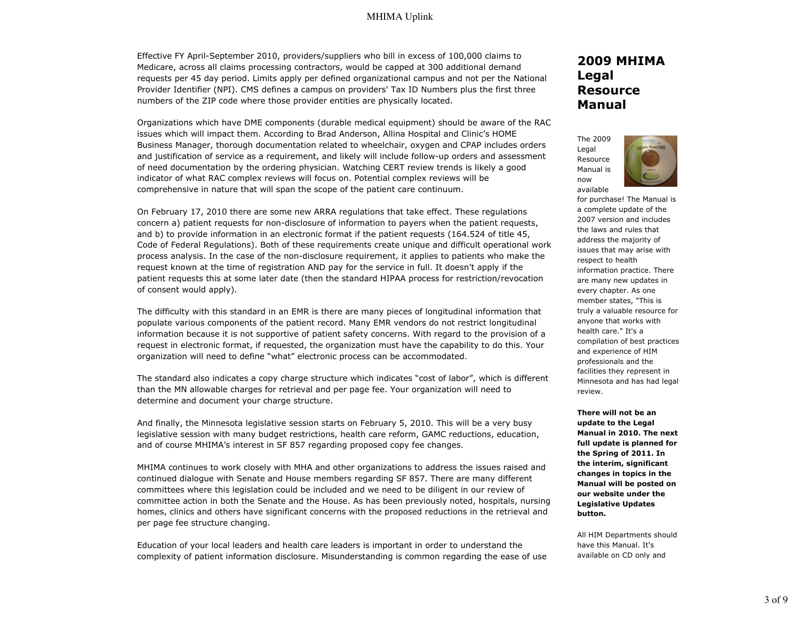Effective FY April-September 2010, providers/suppliers who bill in excess of 100,000 claims to Medicare, across all claims processing contractors, would be capped at 300 additional demand requests per 45 day period. Limits apply per defined organizational campus and not per the National Provider Identifier (NPI). CMS defines a campus on providers' Tax ID Numbers plus the first three numbers of the ZIP code where those provider entities are physically located.

Organizations which have DME components (durable medical equipment) should be aware of the RAC issues which will impact them. According to Brad Anderson, Allina Hospital and Clinic's HOME Business Manager, thorough documentation related to wheelchair, oxygen and CPAP includes orders and justification of service as a requirement, and likely will include follow-up orders and assessment of need documentation by the ordering physician. Watching CERT review trends is likely a good indicator of what RAC complex reviews will focus on. Potential complex reviews will be comprehensive in nature that will span the scope of the patient care continuum.

On February 17, 2010 there are some new ARRA regulations that take effect. These regulations concern a) patient requests for non-disclosure of information to payers when the patient requests, and b) to provide information in an electronic format if the patient requests (164.524 of title 45, Code of Federal Regulations). Both of these requirements create unique and difficult operational work process analysis. In the case of the non-disclosure requirement, it applies to patients who make the request known at the time of registration AND pay for the service in full. It doesn't apply if the patient requests this at some later date (then the standard HIPAA process for restriction/revocation of consent would apply).

The difficulty with this standard in an EMR is there are many pieces of longitudinal information that populate various components of the patient record. Many EMR vendors do not restrict longitudinal information because it is not supportive of patient safety concerns. With regard to the provision of a request in electronic format, if requested, the organization must have the capability to do this. Your organization will need to define "what" electronic process can be accommodated.

The standard also indicates a copy charge structure which indicates "cost of labor", which is different than the MN allowable charges for retrieval and per page fee. Your organization will need to determine and document your charge structure.

And finally, the Minnesota legislative session starts on February 5, 2010. This will be a very busy legislative session with many budget restrictions, health care reform, GAMC reductions, education, and of course MHIMA's interest in SF 857 regarding proposed copy fee changes.

MHIMA continues to work closely with MHA and other organizations to address the issues raised and continued dialogue with Senate and House members regarding SF 857. There are many different committees where this legislation could be included and we need to be diligent in our review of committee action in both the Senate and the House. As has been previously noted, hospitals, nursing homes, clinics and others have significant concerns with the proposed reductions in the retrieval and per page fee structure changing.

Education of your local leaders and health care leaders is important in order to understand the complexity of patient information disclosure. Misunderstanding is common regarding the ease of use

## **2009 MHIMA Legal Resource Manual**

The 2009 Legal Resource Manual is now available



for purchase! The Manual is a complete update of the 2007 version and includes the laws and rules that address the majority of issues that may arise with respect to health information practice. There are many new updates in every chapter. As one member states, "This is truly a valuable resource for anyone that works with health care." It's a compilation of best practices and experience of HIM professionals and the facilities they represent in Minnesota and has had legal review.

**There will not be an update to the Legal Manual in 2010. The next full update is planned for the Spring of 2011. In the interim, significant changes in topics in the Manual will be posted on our website under the Legislative Updates button.**

All HIM Departments should have this Manual. It's available on CD only and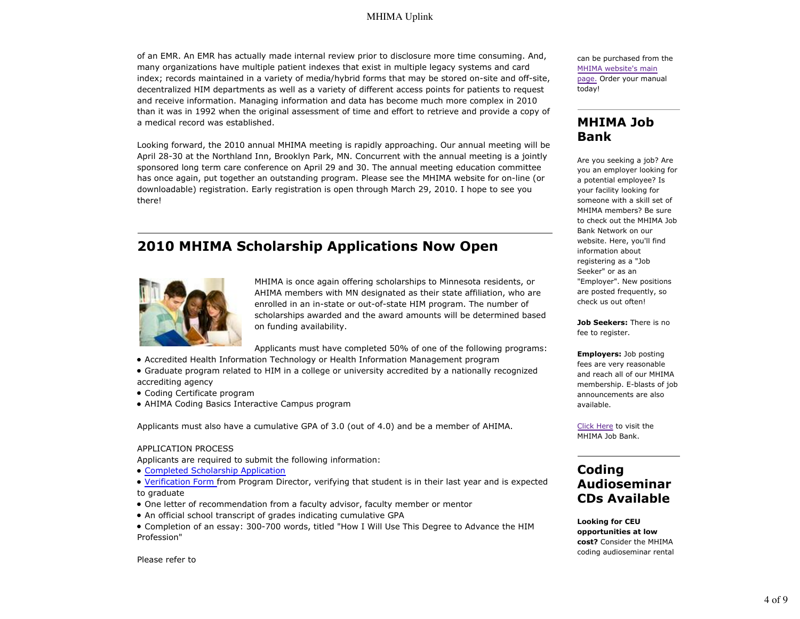of an EMR. An EMR has actually made internal review prior to disclosure more time consuming. And, many organizations have multiple patient indexes that exist in multiple legacy systems and card index; records maintained in a variety of media/hybrid forms that may be stored on-site and off-site, decentralized HIM departments as well as a variety of different access points for patients to request and receive information. Managing information and data has become much more complex in 2010 than it was in 1992 when the original assessment of time and effort to retrieve and provide a copy of a medical record was established.

Looking forward, the 2010 annual MHIMA meeting is rapidly approaching. Our annual meeting will be April 28-30 at the Northland Inn, Brooklyn Park, MN. Concurrent with the annual meeting is a jointly sponsored long term care conference on April 29 and 30. The annual meeting education committee has once again, put together an outstanding program. Please see the MHIMA website for on-line (or downloadable) registration. Early registration is open through March 29, 2010. I hope to see you there!

# **2010 MHIMA Scholarship Applications Now Open**



MHIMA is once again offering scholarships to Minnesota residents, or AHIMA members with MN designated as their state affiliation, who are enrolled in an in-state or out-of-state HIM program. The number of scholarships awarded and the award amounts will be determined based on funding availability.

Applicants must have completed 50% of one of the following programs:

- Accredited Health Information Technology or Health Information Management program
- Graduate program related to HIM in a college or university accredited by a nationally recognized accrediting agency
- Coding Certificate program
- AHIMA Coding Basics Interactive Campus program

Applicants must also have a cumulative GPA of 3.0 (out of 4.0) and be a member of AHIMA.

#### APPLICATION PROCESS

Applicants are required to submit the following information:

Completed Scholarship Application

Verification Form from Program Director, verifying that student is in their last year and is expected to graduate

- One letter of recommendation from a faculty advisor, faculty member or mentor
- An official school transcript of grades indicating cumulative GPA
- Completion of an essay: 300-700 words, titled "How I Will Use This Degree to Advance the HIM Profession"

can be purchased from the MHIMA website's main page. Order your manual today!

## **MHIMA Job Bank**

Are you seeking a job? Are you an employer looking for a potential employee? Is your facility looking for someone with a skill set of MHIMA members? Be sure to check out the MHIMA Job Bank Network on our website. Here, you'll find information about registering as a "Job Seeker" or as an "Employer". New positions are posted frequently, so check us out often!

**Job Seekers:** There is no fee to register.

**Employers:** Job posting fees are very reasonable and reach all of our MHIMA membership. E-blasts of job announcements are also available.

Click Here to visit the MHIMA Job Bank.

## **Coding Audioseminar CDs Available**

**Looking for CEU opportunities at low cost?** Consider the MHIMA coding audioseminar rental

Please refer to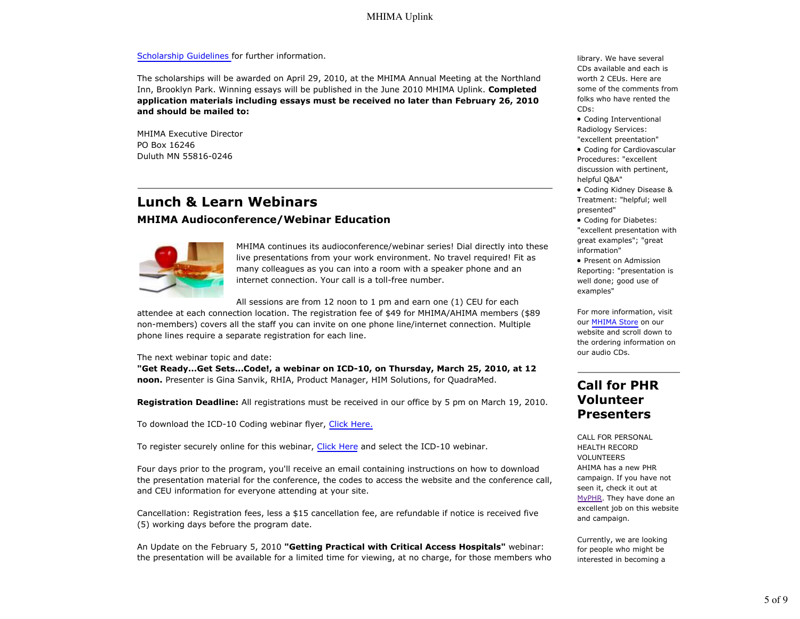#### Scholarship Guidelines for further information.

The scholarships will be awarded on April 29, 2010, at the MHIMA Annual Meeting at the Northland Inn, Brooklyn Park. Winning essays will be published in the June 2010 MHIMA Uplink. **Completed application materials including essays must be received no later than February 26, 2010 and should be mailed to:**

MHIMA Executive Director PO Box 16246 Duluth MN 55816-0246

# **Lunch & Learn Webinars MHIMA Audioconference/Webinar Education**



MHIMA continues its audioconference/webinar series! Dial directly into these live presentations from your work environment. No travel required! Fit as many colleagues as you can into a room with a speaker phone and an internet connection. Your call is a toll-free number.

All sessions are from 12 noon to 1 pm and earn one (1) CEU for each attendee at each connection location. The registration fee of \$49 for MHIMA/AHIMA members (\$89 non-members) covers all the staff you can invite on one phone line/internet connection. Multiple phone lines require a separate registration for each line.

The next webinar topic and date:

**"Get Ready...Get Sets...Code!, a webinar on ICD-10, on Thursday, March 25, 2010, at 12 noon.** Presenter is Gina Sanvik, RHIA, Product Manager, HIM Solutions, for QuadraMed.

**Registration Deadline:** All registrations must be received in our office by 5 pm on March 19, 2010.

To download the ICD-10 Coding webinar flyer, Click Here.

To register securely online for this webinar, Click Here and select the ICD-10 webinar.

Four days prior to the program, you'll receive an email containing instructions on how to download the presentation material for the conference, the codes to access the website and the conference call, and CEU information for everyone attending at your site.

Cancellation: Registration fees, less a \$15 cancellation fee, are refundable if notice is received five (5) working days before the program date.

An Update on the February 5, 2010 **"Getting Practical with Critical Access Hospitals"** webinar: the presentation will be available for a limited time for viewing, at no charge, for those members who library. We have several CDs available and each is worth 2 CEUs. Here are some of the comments from folks who have rented the CDs:

Coding Interventional Radiology Services: "excellent preentation"

Coding for Cardiovascular Procedures: "excellent discussion with pertinent, helpful Q&A"

Coding Kidney Disease & Treatment: "helpful; well presented"

Coding for Diabetes: "excellent presentation with great examples"; "great information"

• Present on Admission Reporting: "presentation is well done; good use of examples"

For more information, visit our MHIMA Store on our website and scroll down to the ordering information on our audio CDs.

## **Call for PHR Volunteer Presenters**

CALL FOR PERSONAL HEALTH RECORD VOLUNTEERS AHIMA has a new PHR campaign. If you have not seen it, check it out at MyPHR. They have done an excellent job on this website and campaign.

Currently, we are looking for people who might be interested in becoming a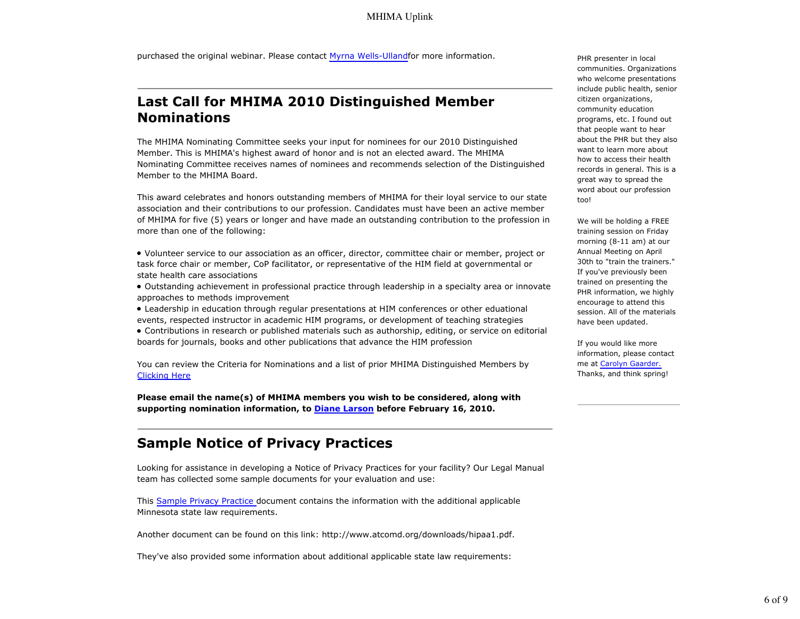purchased the original webinar. Please contact Myrna Wells-Ullandfor more information.

## **Last Call for MHIMA 2010 Distinguished Member Nominations**

The MHIMA Nominating Committee seeks your input for nominees for our 2010 Distinguished Member. This is MHIMA's highest award of honor and is not an elected award. The MHIMA Nominating Committee receives names of nominees and recommends selection of the Distinguished Member to the MHIMA Board.

This award celebrates and honors outstanding members of MHIMA for their loyal service to our state association and their contributions to our profession. Candidates must have been an active member of MHIMA for five (5) years or longer and have made an outstanding contribution to the profession in more than one of the following:

- Volunteer service to our association as an officer, director, committee chair or member, project or task force chair or member, CoP facilitator, or representative of the HIM field at governmental or state health care associations
- Outstanding achievement in professional practice through leadership in a specialty area or innovate approaches to methods improvement
- Leadership in education through regular presentations at HIM conferences or other eduational events, respected instructor in academic HIM programs, or development of teaching strategies
- Contributions in research or published materials such as authorship, editing, or service on editorial boards for journals, books and other publications that advance the HIM profession

You can review the Criteria for Nominations and a list of prior MHIMA Distinguished Members by Clicking Here

**Please email the name(s) of MHIMA members you wish to be considered, along with supporting nomination information, to Diane Larson before February 16, 2010.**

## **Sample Notice of Privacy Practices**

Looking for assistance in developing a Notice of Privacy Practices for your facility? Our Legal Manual team has collected some sample documents for your evaluation and use:

This Sample Privacy Practice document contains the information with the additional applicable Minnesota state law requirements.

Another document can be found on this link: http://www.atcomd.org/downloads/hipaa1.pdf.

They've also provided some information about additional applicable state law requirements:

PHR presenter in local communities. Organizations who welcome presentations include public health, senior citizen organizations, community education programs, etc. I found out that people want to hear about the PHR but they also want to learn more about how to access their health records in general. This is a great way to spread the word about our profession too!

We will be holding a FREE training session on Friday morning (8-11 am) at our Annual Meeting on April 30th to "train the trainers." If you've previously been trained on presenting the PHR information, we highly encourage to attend this session. All of the materials have been updated.

If you would like more information, please contact me at Carolyn Gaarder. Thanks, and think spring!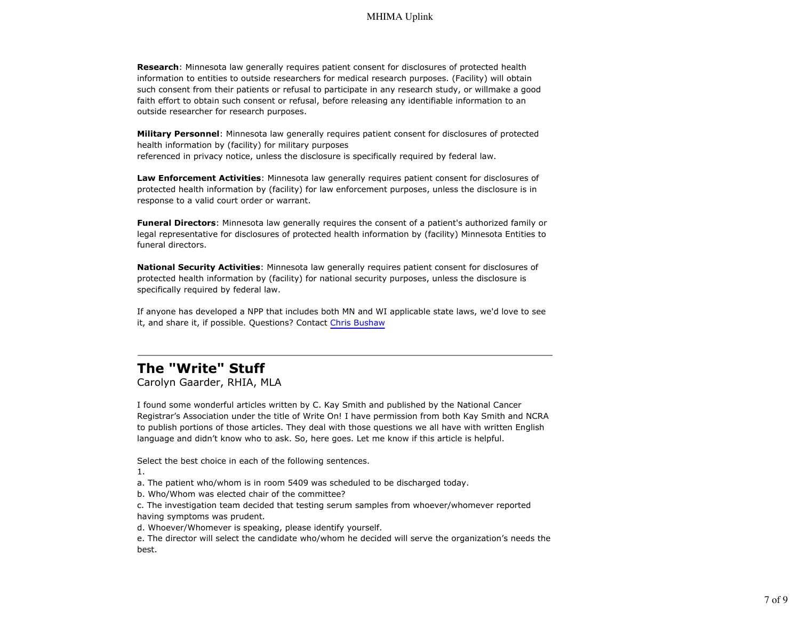**Research**: Minnesota law generally requires patient consent for disclosures of protected health information to entities to outside researchers for medical research purposes. (Facility) will obtain such consent from their patients or refusal to participate in any research study, or willmake a good faith effort to obtain such consent or refusal, before releasing any identifiable information to an outside researcher for research purposes.

**Military Personnel**: Minnesota law generally requires patient consent for disclosures of protected health information by (facility) for military purposes referenced in privacy notice, unless the disclosure is specifically required by federal law.

**Law Enforcement Activities**: Minnesota law generally requires patient consent for disclosures of protected health information by (facility) for law enforcement purposes, unless the disclosure is in response to a valid court order or warrant.

**Funeral Directors**: Minnesota law generally requires the consent of a patient's authorized family or legal representative for disclosures of protected health information by (facility) Minnesota Entities to funeral directors.

**National Security Activities**: Minnesota law generally requires patient consent for disclosures of protected health information by (facility) for national security purposes, unless the disclosure is specifically required by federal law.

If anyone has developed a NPP that includes both MN and WI applicable state laws, we'd love to see it, and share it, if possible. Questions? Contact Chris Bushaw

# **The "Write" Stuff**

Carolyn Gaarder, RHIA, MLA

I found some wonderful articles written by C. Kay Smith and published by the National Cancer Registrar's Association under the title of Write On! I have permission from both Kay Smith and NCRA to publish portions of those articles. They deal with those questions we all have with written English language and didn't know who to ask. So, here goes. Let me know if this article is helpful.

Select the best choice in each of the following sentences.

1.

a. The patient who/whom is in room 5409 was scheduled to be discharged today.

b. Who/Whom was elected chair of the committee?

c. The investigation team decided that testing serum samples from whoever/whomever reported having symptoms was prudent.

d. Whoever/Whomever is speaking, please identify yourself.

e. The director will select the candidate who/whom he decided will serve the organization's needs the best.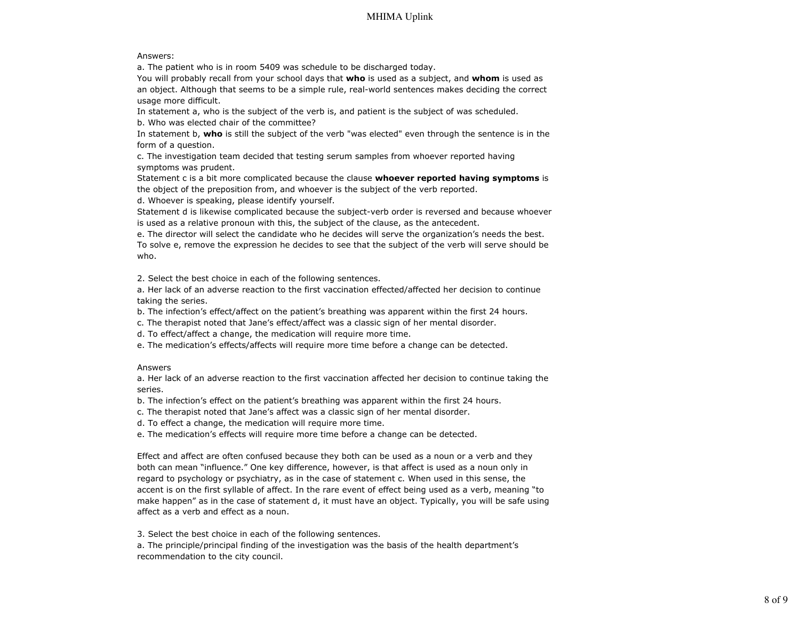#### Answers:

a. The patient who is in room 5409 was schedule to be discharged today.

You will probably recall from your school days that **who** is used as a subject, and **whom** is used as an object. Although that seems to be a simple rule, real-world sentences makes deciding the correct usage more difficult.

In statement a, who is the subject of the verb is, and patient is the subject of was scheduled. b. Who was elected chair of the committee?

In statement b, **who** is still the subject of the verb "was elected" even through the sentence is in the form of a question.

c. The investigation team decided that testing serum samples from whoever reported having symptoms was prudent.

Statement c is a bit more complicated because the clause **whoever reported having symptoms** is the object of the preposition from, and whoever is the subject of the verb reported.

d. Whoever is speaking, please identify yourself.

Statement d is likewise complicated because the subject-verb order is reversed and because whoever is used as a relative pronoun with this, the subject of the clause, as the antecedent.

e. The director will select the candidate who he decides will serve the organization's needs the best. To solve e, remove the expression he decides to see that the subject of the verb will serve should be who.

2. Select the best choice in each of the following sentences.

a. Her lack of an adverse reaction to the first vaccination effected/affected her decision to continue taking the series.

b. The infection's effect/affect on the patient's breathing was apparent within the first 24 hours.

c. The therapist noted that Jane's effect/affect was a classic sign of her mental disorder.

d. To effect/affect a change, the medication will require more time.

e. The medication's effects/affects will require more time before a change can be detected.

### Answers

a. Her lack of an adverse reaction to the first vaccination affected her decision to continue taking the series.

b. The infection's effect on the patient's breathing was apparent within the first 24 hours.

c. The therapist noted that Jane's affect was a classic sign of her mental disorder.

d. To effect a change, the medication will require more time.

e. The medication's effects will require more time before a change can be detected.

Effect and affect are often confused because they both can be used as a noun or a verb and they both can mean "influence." One key difference, however, is that affect is used as a noun only in regard to psychology or psychiatry, as in the case of statement c. When used in this sense, the accent is on the first syllable of affect. In the rare event of effect being used as a verb, meaning "to make happen" as in the case of statement d, it must have an object. Typically, you will be safe using affect as a verb and effect as a noun.

3. Select the best choice in each of the following sentences.

a. The principle/principal finding of the investigation was the basis of the health department's recommendation to the city council.